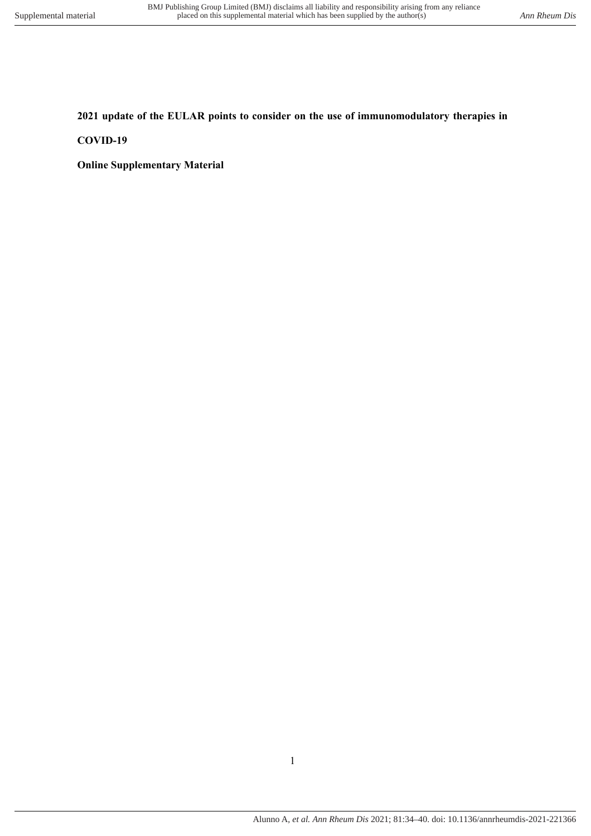## **2021 update of the EULAR points to consider on the use of immunomodulatory therapies in**

#### **COVID-19**

**Online Supplementary Material**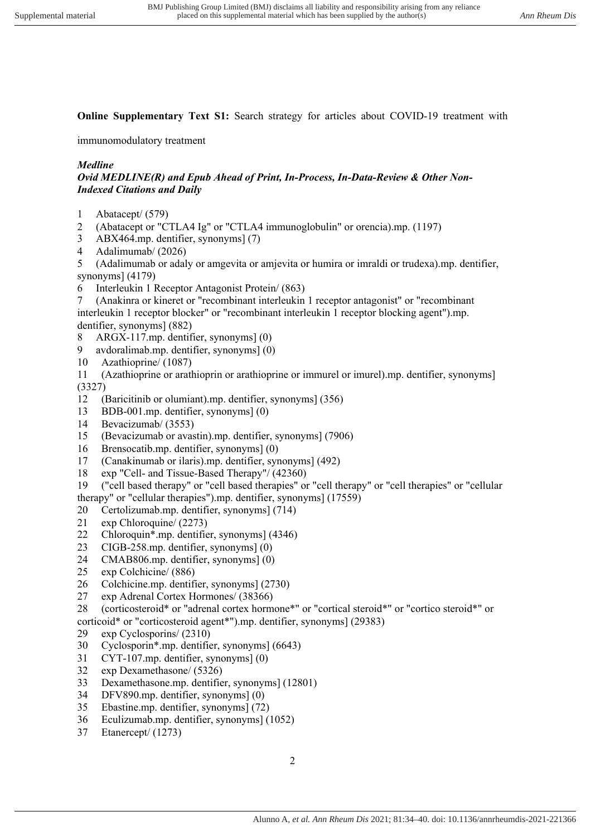**Online Supplementary Text S1:** Search strategy for articles about COVID-19 treatment with

immunomodulatory treatment

# *Medline*

## *Ovid MEDLINE(R) and Epub Ahead of Print, In-Process, In-Data-Review & Other Non-Indexed Citations and Daily*

- 1 Abatacept/ (579)
- 2 (Abatacept or "CTLA4 Ig" or "CTLA4 immunoglobulin" or orencia).mp. (1197)
- 3 ABX464.mp. dentifier, synonyms] (7)
- 4 Adalimumab/ (2026)

5 (Adalimumab or adaly or amgevita or amjevita or humira or imraldi or trudexa).mp. dentifier, synonyms] (4179)

6 Interleukin 1 Receptor Antagonist Protein/ (863)

7 (Anakinra or kineret or "recombinant interleukin 1 receptor antagonist" or "recombinant interleukin 1 receptor blocker" or "recombinant interleukin 1 receptor blocking agent").mp. dentifier, synonyms] (882)

- 8 ARGX-117.mp. dentifier, synonyms] (0)
- 9 avdoralimab.mp. dentifier, synonyms] (0)
- 10 Azathioprine/ (1087)

11 (Azathioprine or arathioprin or arathioprine or immurel or imurel).mp. dentifier, synonyms] (3327)

- 12 (Baricitinib or olumiant).mp. dentifier, synonyms] (356)
- 13 BDB-001.mp. dentifier, synonyms] (0)
- 14 Bevacizumab/ (3553)
- 15 (Bevacizumab or avastin).mp. dentifier, synonyms] (7906)
- 16 Brensocatib.mp. dentifier, synonyms] (0)
- 17 (Canakinumab or ilaris).mp. dentifier, synonyms] (492)
- 18 exp "Cell- and Tissue-Based Therapy"/ (42360)
- 19 ("cell based therapy" or "cell based therapies" or "cell therapy" or "cell therapies" or "cellular therapy" or "cellular therapies").mp. dentifier, synonyms] (17559)
- 20 Certolizumab.mp. dentifier, synonyms] (714)
- 21 exp Chloroquine/ (2273)
- 22 Chloroquin\*.mp. dentifier, synonyms] (4346)
- 23 CIGB-258.mp. dentifier, synonyms] (0)
- 24 CMAB806.mp. dentifier, synonyms] (0)
- 25 exp Colchicine/ (886)<br>26 Colchicine.mn. dentifi
- 26 Colchicine.mp. dentifier, synonyms] (2730)
- 27 exp Adrenal Cortex Hormones/ (38366)

28 (corticosteroid\* or "adrenal cortex hormone\*" or "cortical steroid\*" or "cortico steroid\*" or corticoid\* or "corticosteroid agent\*").mp. dentifier, synonyms] (29383)

- 29 exp Cyclosporins/ (2310)
- 30 Cyclosporin\*.mp. dentifier, synonyms] (6643)
- 31 CYT-107.mp. dentifier, synonyms] (0)
- 32 exp Dexamethasone/ (5326)
- 33 Dexamethasone.mp. dentifier, synonyms] (12801)
- 34 DFV890.mp. dentifier, synonyms] (0)
- 35 Ebastine.mp. dentifier, synonyms] (72)
- 36 Eculizumab.mp. dentifier, synonyms] (1052)
- 37 Etanercept/ (1273)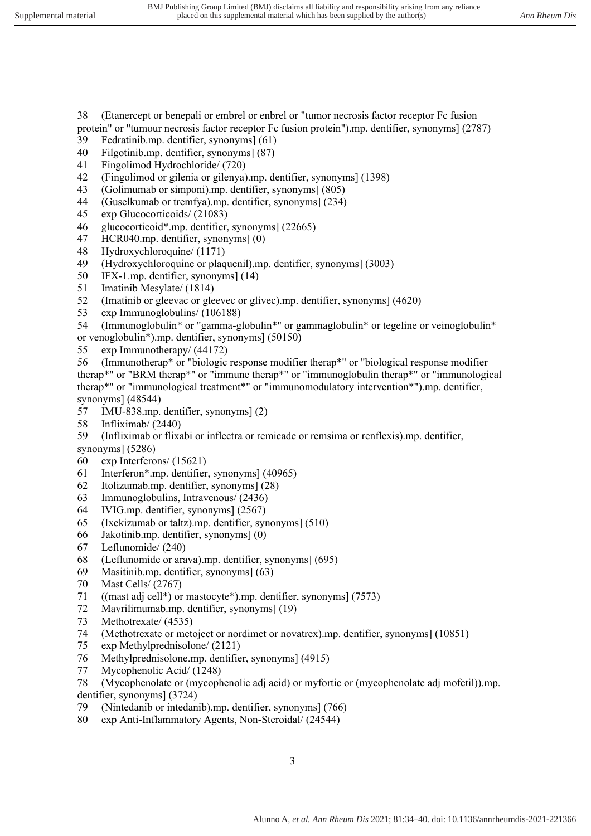38 (Etanercept or benepali or embrel or enbrel or "tumor necrosis factor receptor Fc fusion protein" or "tumour necrosis factor receptor Fc fusion protein").mp. dentifier, synonyms] (2787)

- 39 Fedratinib.mp. dentifier, synonyms] (61)
- 40 Filgotinib.mp. dentifier, synonyms] (87)
- 41 Fingolimod Hydrochloride/ (720)
- 42 (Fingolimod or gilenia or gilenya).mp. dentifier, synonyms] (1398)
- 43 (Golimumab or simponi).mp. dentifier, synonyms] (805)
- 44 (Guselkumab or tremfya).mp. dentifier, synonyms] (234)
- 45 exp Glucocorticoids/ (21083)
- 46 glucocorticoid\*.mp. dentifier, synonyms] (22665)
- 47 HCR040.mp. dentifier, synonyms] (0)
- 48 Hydroxychloroquine/ (1171)
- 49 (Hydroxychloroquine or plaquenil).mp. dentifier, synonyms] (3003)
- 50 IFX-1.mp. dentifier, synonyms] (14)
- 51 Imatinib Mesylate/ (1814)
- 52 (Imatinib or gleevac or gleevec or glivec).mp. dentifier, synonyms] (4620)
- 53 exp Immunoglobulins/ (106188)
- 54 (Immunoglobulin\* or "gamma-globulin\*" or gammaglobulin\* or tegeline or veinoglobulin\* or venoglobulin\*).mp. dentifier, synonyms] (50150)
- 55 exp Immunotherapy/ (44172)
- 56 (Immunotherap\* or "biologic response modifier therap\*" or "biological response modifier therap\*" or "BRM therap\*" or "immune therap\*" or "immunoglobulin therap\*" or "immunological therap\*" or "immunological treatment\*" or "immunomodulatory intervention\*").mp. dentifier, synonyms] (48544)
- 57 IMU-838.mp. dentifier, synonyms] (2)
- 58 Infliximab/ (2440)

59 (Infliximab or flixabi or inflectra or remicade or remsima or renflexis).mp. dentifier,

- synonyms] (5286)
- 60 exp Interferons/ (15621)
- 61 Interferon\*.mp. dentifier, synonyms] (40965)
- 62 Itolizumab.mp. dentifier, synonyms] (28)
- 63 Immunoglobulins, Intravenous/ (2436)
- 64 IVIG.mp. dentifier, synonyms] (2567)
- 65 (Ixekizumab or taltz).mp. dentifier, synonyms] (510)
- 66 Jakotinib.mp. dentifier, synonyms] (0)
- 67 Leflunomide/ (240)
- 68 (Leflunomide or arava).mp. dentifier, synonyms] (695)
- 69 Masitinib.mp. dentifier, synonyms] (63)<br>70 Mast Cells/ (2767)
- Mast Cells/ (2767)
- 71 ((mast adj cell\*) or mastocyte\*).mp. dentifier, synonyms] (7573)
- 72 Mavrilimumab.mp. dentifier, synonyms] (19)
- 73 Methotrexate/ (4535)
- 74 (Methotrexate or metoject or nordimet or novatrex).mp. dentifier, synonyms] (10851)
- exp Methylprednisolone/ (2121)
- 76 Methylprednisolone.mp. dentifier, synonyms] (4915)
- 77 Mycophenolic Acid/ (1248)
- 78 (Mycophenolate or (mycophenolic adj acid) or myfortic or (mycophenolate adj mofetil)).mp. dentifier, synonyms] (3724)
- 79 (Nintedanib or intedanib).mp. dentifier, synonyms] (766)
- 80 exp Anti-Inflammatory Agents, Non-Steroidal/ (24544)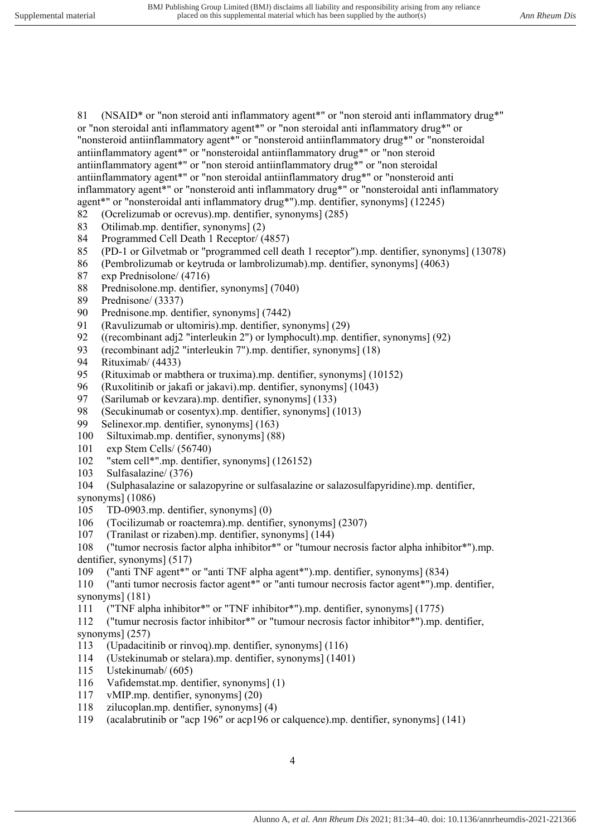81 (NSAID\* or "non steroid anti inflammatory agent\*" or "non steroid anti inflammatory drug\*" or "non steroidal anti inflammatory agent\*" or "non steroidal anti inflammatory drug\*" or "nonsteroid antiinflammatory agent\*" or "nonsteroid antiinflammatory drug\*" or "nonsteroidal antiinflammatory agent\*" or "nonsteroidal antiinflammatory drug\*" or "non steroid antiinflammatory agent\*" or "non steroid antiinflammatory drug\*" or "non steroidal antiinflammatory agent\*" or "non steroidal antiinflammatory drug\*" or "nonsteroid anti inflammatory agent\*" or "nonsteroid anti inflammatory drug\*" or "nonsteroidal anti inflammatory agent\*" or "nonsteroidal anti inflammatory drug\*").mp. dentifier, synonyms] (12245)

- 82 (Ocrelizumab or ocrevus).mp. dentifier, synonyms] (285)
- 83 Otilimab.mp. dentifier, synonyms] (2)
- 84 Programmed Cell Death 1 Receptor/ (4857)
- 85 (PD-1 or Gilvetmab or "programmed cell death 1 receptor").mp. dentifier, synonyms] (13078)
- 86 (Pembrolizumab or keytruda or lambrolizumab).mp. dentifier, synonyms] (4063)
- 87 exp Prednisolone/ (4716)
- 88 Prednisolone.mp. dentifier, synonyms] (7040)
- 89 Prednisone/ (3337)
- 90 Prednisone.mp. dentifier, synonyms] (7442)
- 91 (Ravulizumab or ultomiris).mp. dentifier, synonyms] (29)
- 92 ((recombinant adj2 "interleukin 2") or lymphocult).mp. dentifier, synonyms] (92)
- 93 (recombinant adj2 "interleukin 7").mp. dentifier, synonyms] (18)<br>94 Rituximab/ (4433)
- Rituximab/ (4433)
- 95 (Rituximab or mabthera or truxima).mp. dentifier, synonyms] (10152)<br>96 (Ruxolitinib or iakafi or iakavi).mp. dentifier, synonyms] (1043)
- 96 (Ruxolitinib or jakafi or jakavi).mp. dentifier, synonyms] (1043)
- 97 (Sarilumab or kevzara).mp. dentifier, synonyms] (133)
- 98 (Secukinumab or cosentyx).mp. dentifier, synonyms] (1013)
- 99 Selinexor.mp. dentifier, synonyms] (163)
- 100 Siltuximab.mp. dentifier, synonyms] (88)
- 101 exp Stem Cells/ (56740)
- 102 "stem cell\*".mp. dentifier, synonyms] (126152)
- 103 Sulfasalazine/ (376)
- 104 (Sulphasalazine or salazopyrine or sulfasalazine or salazosulfapyridine).mp. dentifier,
- synonyms] (1086)
- 105 TD-0903.mp. dentifier, synonyms] (0)
- 106 (Tocilizumab or roactemra).mp. dentifier, synonyms] (2307)
- 107 (Tranilast or rizaben).mp. dentifier, synonyms] (144)

108 ("tumor necrosis factor alpha inhibitor\*" or "tumour necrosis factor alpha inhibitor\*").mp. dentifier, synonyms] (517)

109 ("anti TNF agent\*" or "anti TNF alpha agent\*").mp. dentifier, synonyms] (834)

110 ("anti tumor necrosis factor agent\*" or "anti tumour necrosis factor agent\*").mp. dentifier, synonyms] (181)

111 ("TNF alpha inhibitor\*" or "TNF inhibitor\*").mp. dentifier, synonyms] (1775)

112 ("tumur necrosis factor inhibitor\*" or "tumour necrosis factor inhibitor\*").mp. dentifier, synonyms] (257)

- 113 (Upadacitinib or rinvoq).mp. dentifier, synonyms] (116)
- 114 (Ustekinumab or stelara).mp. dentifier, synonyms] (1401)
- 115 Ustekinumab/ (605)
- 116 Vafidemstat.mp. dentifier, synonyms] (1)
- 117 vMIP.mp. dentifier, synonyms] (20)
- 118 zilucoplan.mp. dentifier, synonyms] (4)
- 119 (acalabrutinib or "acp 196" or acp196 or calquence).mp. dentifier, synonyms] (141)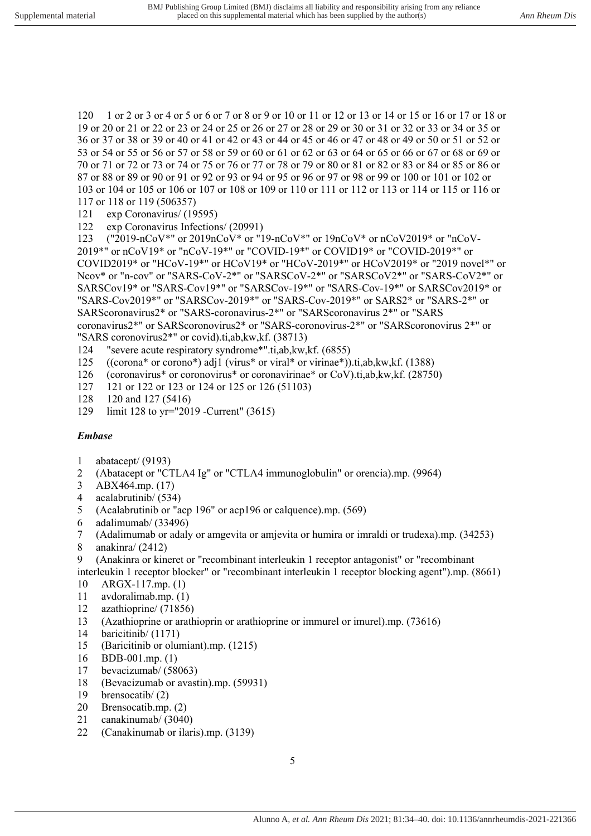120 1 or 2 or 3 or 4 or 5 or 6 or 7 or 8 or 9 or 10 or 11 or 12 or 13 or 14 or 15 or 16 or 17 or 18 or 19 or 20 or 21 or 22 or 23 or 24 or 25 or 26 or 27 or 28 or 29 or 30 or 31 or 32 or 33 or 34 or 35 or 36 or 37 or 38 or 39 or 40 or 41 or 42 or 43 or 44 or 45 or 46 or 47 or 48 or 49 or 50 or 51 or 52 or 53 or 54 or 55 or 56 or 57 or 58 or 59 or 60 or 61 or 62 or 63 or 64 or 65 or 66 or 67 or 68 or 69 or 70 or 71 or 72 or 73 or 74 or 75 or 76 or 77 or 78 or 79 or 80 or 81 or 82 or 83 or 84 or 85 or 86 or 87 or 88 or 89 or 90 or 91 or 92 or 93 or 94 or 95 or 96 or 97 or 98 or 99 or 100 or 101 or 102 or 103 or 104 or 105 or 106 or 107 or 108 or 109 or 110 or 111 or 112 or 113 or 114 or 115 or 116 or 117 or 118 or 119 (506357)

- 121 exp Coronavirus/ (19595)
- 122 exp Coronavirus Infections/ (20991)

123 ("2019-nCoV\*" or 2019nCoV\* or "19-nCoV\*" or 19nCoV\* or nCoV2019\* or "nCoV-2019\*" or nCoV19\* or "nCoV-19\*" or "COVID-19\*" or COVID19\* or "COVID-2019\*" or COVID2019\* or "HCoV-19\*" or HCoV19\* or "HCoV-2019\*" or HCoV2019\* or "2019 novel\*" or Ncov\* or "n-cov" or "SARS-CoV-2\*" or "SARSCoV-2\*" or "SARSCoV2\*" or "SARS-CoV2\*" or SARSCov19\* or "SARS-Cov19\*" or "SARSCov-19\*" or "SARS-Cov-19\*" or SARSCov2019\* or "SARS-Cov2019\*" or "SARSCov-2019\*" or "SARS-Cov-2019\*" or SARS2\* or "SARS-2\*" or SARScoronavirus2\* or "SARS-coronavirus-2\*" or "SARScoronavirus 2\*" or "SARS coronavirus2\*" or SARScoronovirus2\* or "SARS-coronovirus-2\*" or "SARScoronovirus 2\*" or "SARS coronovirus2\*" or covid).ti,ab,kw,kf. (38713)

- 124 "severe acute respiratory syndrome\*".ti,ab,kw,kf. (6855)
- 125 ((corona\* or corono\*) adj1 (virus\* or viral\* or virinae\*)).ti,ab,kw,kf.  $(1388)$
- 126 (coronavirus\* or coronovirus\* or coronavirinae\* or CoV).ti,ab,kw,kf. (28750)
- 127 121 or 122 or 123 or 124 or 125 or 126 (51103)
- 128 120 and 127 (5416)
- 129 limit 128 to yr="2019 -Current" (3615)

#### *Embase*

- 1 abatacept/ (9193)
- 2 (Abatacept or "CTLA4 Ig" or "CTLA4 immunoglobulin" or orencia).mp. (9964)
- 3 ABX464.mp. (17)
- 4 acalabrutinib/ (534)
- 5 (Acalabrutinib or "acp 196" or acp196 or calquence).mp. (569)
- 6 adalimumab/ (33496)
- 7 (Adalimumab or adaly or amgevita or amjevita or humira or imraldi or trudexa).mp. (34253)
- 8 anakinra/ (2412)
- 9 (Anakinra or kineret or "recombinant interleukin 1 receptor antagonist" or "recombinant

interleukin 1 receptor blocker" or "recombinant interleukin 1 receptor blocking agent").mp. (8661) 10 ARGX-117.mp. (1)

- 
- 11 avdoralimab.mp. (1)
- 12 azathioprine/ (71856)
- 13 (Azathioprine or arathioprin or arathioprine or immurel or imurel).mp. (73616)
- 14 baricitinib/ (1171)
- 15 (Baricitinib or olumiant).mp. (1215)
- 16 BDB-001.mp. (1)
- 17 bevacizumab/ (58063)
- 18 (Bevacizumab or avastin).mp. (59931)
- 19 brensocatib/ (2)
- 20 Brensocatib.mp. (2)
- 21 canakinumab/ (3040)
- 22 (Canakinumab or ilaris).mp. (3139)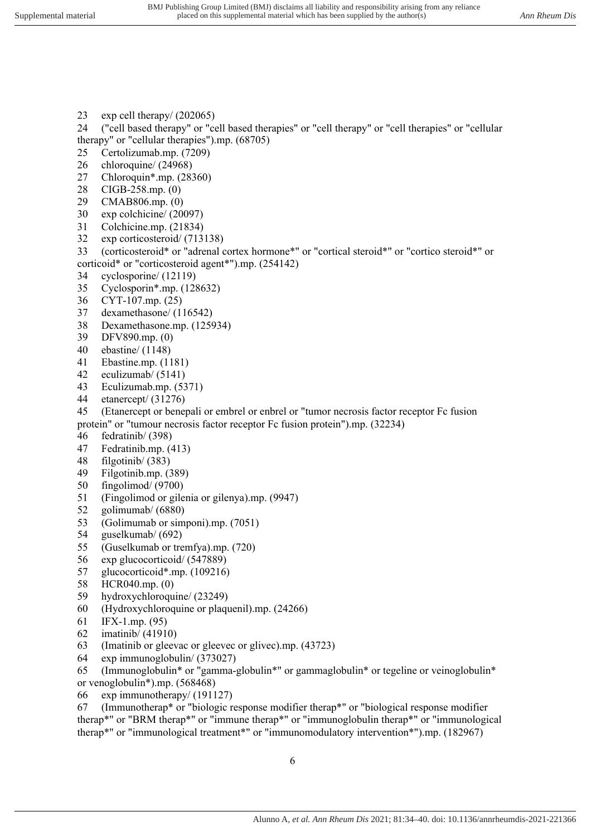- 23 exp cell therapy/ (202065)
- 24 ("cell based therapy" or "cell based therapies" or "cell therapy" or "cell therapies" or "cellular therapy" or "cellular therapies").mp. (68705)
- 25 Certolizumab.mp. (7209)
- 26 chloroquine/ (24968)
- 27 Chloroquin\*.mp. (28360)
- 28 CIGB-258.mp. (0)
- 29 CMAB806.mp. (0)
- 30 exp colchicine/ (20097)
- 31 Colchicine.mp. (21834)
- 32 exp corticosteroid/ (713138)
- 33 (corticosteroid\* or "adrenal cortex hormone\*" or "cortical steroid\*" or "cortico steroid\*" or corticoid\* or "corticosteroid agent\*").mp. (254142)
- 34 cyclosporine/ (12119)
- 35 Cyclosporin\*.mp. (128632)
- 36 CYT-107.mp. (25)
- 37 dexamethasone/ (116542)
- 38 Dexamethasone.mp. (125934)
- 39 DFV890.mp. (0)
- 40 ebastine/ (1148)
- 41 Ebastine.mp. (1181)
- 42 eculizumab/ (5141)
- 43 Eculizumab.mp. (5371)
- 44 etanercept/ (31276)
- 45 (Etanercept or benepali or embrel or enbrel or "tumor necrosis factor receptor Fc fusion protein" or "tumour necrosis factor receptor Fc fusion protein").mp. (32234)
- 46 fedratinib/ (398)
- 47 Fedratinib.mp. (413)
- 48 filgotinib/ (383)
- 49 Filgotinib.mp. (389)
- 50 fingolimod/ (9700)
- 51 (Fingolimod or gilenia or gilenya).mp. (9947)
- 52 golimumab/ (6880)
- 53 (Golimumab or simponi).mp. (7051)
- 54 guselkumab/ (692)
- 55 (Guselkumab or tremfya).mp. (720)
- 56 exp glucocorticoid/ (547889)
- 57 glucocorticoid\*.mp. (109216)<br>58 HCR040.mp. (0)
- $HCR040.mp. (0)$
- 59 hydroxychloroquine/ (23249)
- 60 (Hydroxychloroquine or plaquenil).mp. (24266)
- 61 IFX-1.mp. (95)
- 62 imatinib/ (41910)
- 63 (Imatinib or gleevac or gleevec or glivec).mp. (43723)
- 64 exp immunoglobulin/ (373027)
- 65 (Immunoglobulin\* or "gamma-globulin\*" or gammaglobulin\* or tegeline or veinoglobulin\* or venoglobulin\*).mp. (568468)
- 66 exp immunotherapy/ (191127)

67 (Immunotherap\* or "biologic response modifier therap\*" or "biological response modifier therap\*" or "BRM therap\*" or "immune therap\*" or "immunoglobulin therap\*" or "immunological therap\*" or "immunological treatment\*" or "immunomodulatory intervention\*").mp. (182967)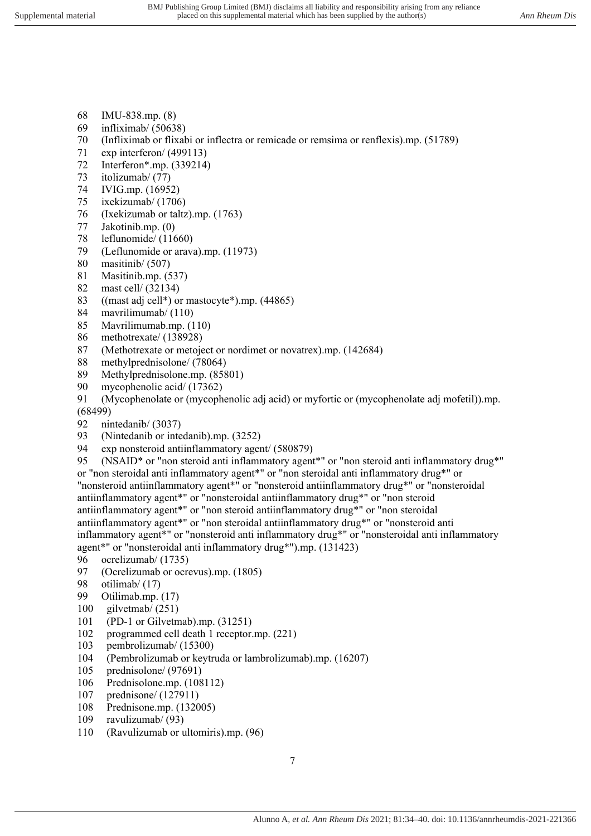- 68 IMU-838.mp. (8)
- 69 infliximab/ (50638)
- 70 (Infliximab or flixabi or inflectra or remicade or remsima or renflexis).mp. (51789)
- 71 exp interferon/ (499113)
- 72 Interferon\*.mp. (339214)
- 73 itolizumab/ (77)
- 74 IVIG.mp. (16952)
- 75 ixekizumab/ (1706)
- 76 (Ixekizumab or taltz).mp. (1763)
- 77 Jakotinib.mp. (0)
- 78 leflunomide/ (11660)
- 79 (Leflunomide or arava).mp. (11973)
- 80 masitinib/ (507)
- 81 Masitinib.mp. (537)
- 82 mast cell/ (32134)
- 83 ((mast adj cell\*) or mastocyte\*).mp. (44865)
- 84 mavrilimumab/ (110)
- 85 Mavrilimumab.mp. (110)
- 86 methotrexate/ (138928)
- 87 (Methotrexate or metoject or nordimet or novatrex).mp. (142684)
- 88 methylprednisolone/ (78064)
- 89 Methylprednisolone.mp. (85801)
- 90 mycophenolic acid/ (17362)
- 91 (Mycophenolate or (mycophenolic adj acid) or myfortic or (mycophenolate adj mofetil)).mp. (68499)
- 92 nintedanib/ (3037)
- 93 (Nintedanib or intedanib).mp. (3252)
- 94 exp nonsteroid antiinflammatory agent/ (580879)

95 (NSAID\* or "non steroid anti inflammatory agent\*" or "non steroid anti inflammatory drug\*" or "non steroidal anti inflammatory agent\*" or "non steroidal anti inflammatory drug\*" or "nonsteroid antiinflammatory agent\*" or "nonsteroid antiinflammatory drug\*" or "nonsteroidal antiinflammatory agent\*" or "nonsteroidal antiinflammatory drug\*" or "non steroid antiinflammatory agent\*" or "non steroid antiinflammatory drug\*" or "non steroidal antiinflammatory agent\*" or "non steroidal antiinflammatory drug\*" or "nonsteroid anti inflammatory agent\*" or "nonsteroid anti inflammatory drug\*" or "nonsteroidal anti inflammatory

agent\*" or "nonsteroidal anti inflammatory drug\*").mp. (131423)

- 96 ocrelizumab/ (1735)
- 97 (Ocrelizumab or ocrevus).mp. (1805)<br>98 otilimab/ (17)
- otilimab/ (17)
- 99 Otilimab.mp. (17)
- 100 gilvetmab/ (251)
- 101 (PD-1 or Gilvetmab).mp. (31251)
- 102 programmed cell death 1 receptor.mp. (221)
- 103 pembrolizumab/ (15300)
- 104 (Pembrolizumab or keytruda or lambrolizumab).mp. (16207)
- 105 prednisolone/ (97691)
- 106 Prednisolone.mp. (108112)
- 107 prednisone/ (127911)
- 108 Prednisone.mp. (132005)
- 109 ravulizumab/ (93)
- 110 (Ravulizumab or ultomiris).mp. (96)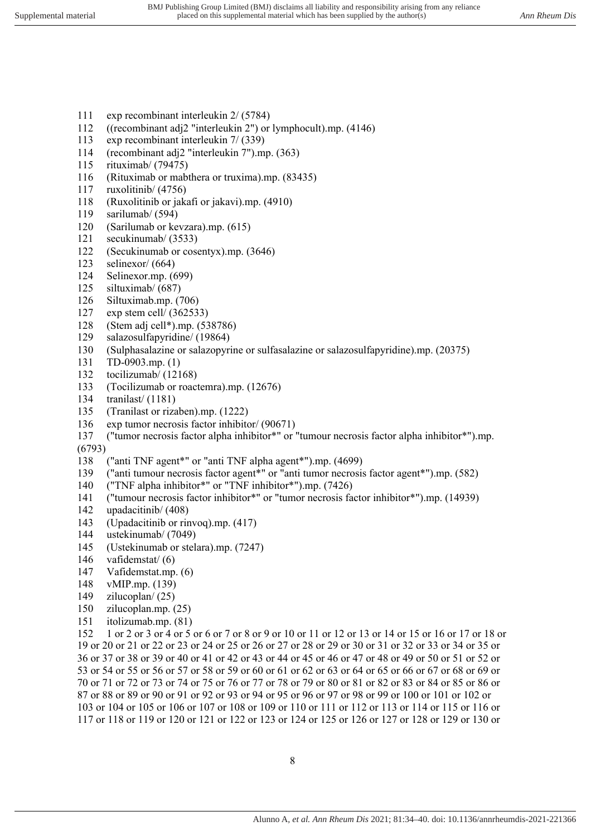- 111 exp recombinant interleukin 2/ (5784)
- 112 ((recombinant adj2 "interleukin 2") or lymphocult).mp. (4146)
- 113 exp recombinant interleukin 7/ (339)
- 114 (recombinant adj2 "interleukin 7").mp. (363)
- 115 rituximab/ (79475)
- 116 (Rituximab or mabthera or truxima).mp. (83435)
- 117 ruxolitinib/ (4756)
- 118 (Ruxolitinib or jakafi or jakavi).mp. (4910)
- 119 sarilumab/ (594)
- 120 (Sarilumab or kevzara).mp. (615)
- 121 secukinumab/ (3533)
- 122 (Secukinumab or cosentyx).mp. (3646)
- 123 selinexor/ (664)
- 124 Selinexor.mp. (699)<br>125 siltuximab/ (687)
- siltuximab/ (687)
- 126 Siltuximab.mp. (706)
- 127 exp stem cell/ (362533)
- 128 (Stem adj cell\*).mp. (538786)
- 129 salazosulfapyridine/ (19864)
- 130 (Sulphasalazine or salazopyrine or sulfasalazine or salazosulfapyridine).mp. (20375)
- 131 TD-0903.mp. (1)
- 132 tocilizumab/ (12168)
- 133 (Tocilizumab or roactemra).mp. (12676)
- 134 tranilast/ (1181)
- 135 (Tranilast or rizaben).mp. (1222)
- 136 exp tumor necrosis factor inhibitor/ (90671)
- 137 ("tumor necrosis factor alpha inhibitor\*" or "tumour necrosis factor alpha inhibitor\*").mp. (6793)
- 138 ("anti TNF agent\*" or "anti TNF alpha agent\*").mp. (4699)
- 139 ("anti tumour necrosis factor agent\*" or "anti tumor necrosis factor agent\*").mp. (582)
- 140 ("TNF alpha inhibitor\*" or "TNF inhibitor\*").mp. (7426)
- 141 ("tumour necrosis factor inhibitor\*" or "tumor necrosis factor inhibitor\*").mp. (14939)
- 142 upadacitinib/ (408)
- 143 (Upadacitinib or rinvoq).mp. (417)
- 144 ustekinumab/ (7049)
- 145 (Ustekinumab or stelara).mp. (7247)
- 146 vafidemstat/ (6)
- 147 Vafidemstat.mp. (6)
- 148 vMIP.mp. (139)
- 149 zilucoplan/ (25)
- 150 zilucoplan.mp. (25)
- 151 itolizumab.mp. (81)

152 1 or 2 or 3 or 4 or 5 or 6 or 7 or 8 or 9 or 10 or 11 or 12 or 13 or 14 or 15 or 16 or 17 or 18 or 19 or 20 or 21 or 22 or 23 or 24 or 25 or 26 or 27 or 28 or 29 or 30 or 31 or 32 or 33 or 34 or 35 or 36 or 37 or 38 or 39 or 40 or 41 or 42 or 43 or 44 or 45 or 46 or 47 or 48 or 49 or 50 or 51 or 52 or 53 or 54 or 55 or 56 or 57 or 58 or 59 or 60 or 61 or 62 or 63 or 64 or 65 or 66 or 67 or 68 or 69 or 70 or 71 or 72 or 73 or 74 or 75 or 76 or 77 or 78 or 79 or 80 or 81 or 82 or 83 or 84 or 85 or 86 or 87 or 88 or 89 or 90 or 91 or 92 or 93 or 94 or 95 or 96 or 97 or 98 or 99 or 100 or 101 or 102 or 103 or 104 or 105 or 106 or 107 or 108 or 109 or 110 or 111 or 112 or 113 or 114 or 115 or 116 or 117 or 118 or 119 or 120 or 121 or 122 or 123 or 124 or 125 or 126 or 127 or 128 or 129 or 130 or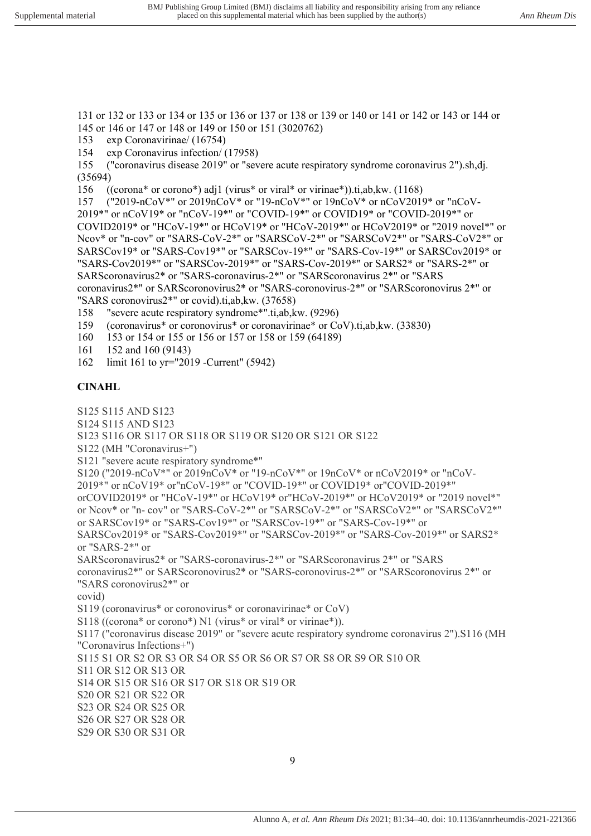131 or 132 or 133 or 134 or 135 or 136 or 137 or 138 or 139 or 140 or 141 or 142 or 143 or 144 or 145 or 146 or 147 or 148 or 149 or 150 or 151 (3020762)

153 exp Coronavirinae/ (16754)

154 exp Coronavirus infection/ (17958)

155 ("coronavirus disease 2019" or "severe acute respiratory syndrome coronavirus 2").sh,dj. (35694)

156 ((corona\* or corono\*) adj1 (virus\* or viral\* or virinae\*)).ti,ab,kw. (1168)

157 ("2019-nCoV\*" or 2019nCoV\* or "19-nCoV\*" or 19nCoV\* or nCoV2019\* or "nCoV-2019\*" or nCoV19\* or "nCoV-19\*" or "COVID-19\*" or COVID19\* or "COVID-2019\*" or COVID2019\* or "HCoV-19\*" or HCoV19\* or "HCoV-2019\*" or HCoV2019\* or "2019 novel\*" or Ncov\* or "n-cov" or "SARS-CoV-2\*" or "SARSCoV-2\*" or "SARSCoV2\*" or "SARS-CoV2\*" or SARSCov19\* or "SARS-Cov19\*" or "SARSCov-19\*" or "SARS-Cov-19\*" or SARSCov2019\* or "SARS-Cov2019\*" or "SARSCov-2019\*" or "SARS-Cov-2019\*" or SARS2\* or "SARS-2\*" or SARScoronavirus2\* or "SARS-coronavirus-2\*" or "SARScoronavirus 2\*" or "SARS coronavirus2\*" or SARScoronovirus2\* or "SARS-coronovirus-2\*" or "SARScoronovirus 2\*" or "SARS coronovirus2\*" or covid).ti,ab,kw. (37658)

158 "severe acute respiratory syndrome\*".ti,ab,kw. (9296)

159 (coronavirus\* or coronovirus\* or coronavirinae\* or CoV).ti,ab,kw. (33830)

- 160 153 or 154 or 155 or 156 or 157 or 158 or 159 (64189)
- 161 152 and 160 (9143)
- 162 limit 161 to yr="2019 -Current" (5942)

### **CINAHL**

S125 S115 AND S123 S124 S115 AND S123 S123 S116 OR S117 OR S118 OR S119 OR S120 OR S121 OR S122 S122 (MH "Coronavirus+") S121 "severe acute respiratory syndrome\*" S120 ("2019-nCoV\*" or 2019nCoV\* or "19-nCoV\*" or 19nCoV\* or nCoV2019\* or "nCoV-2019\*" or nCoV19\* or"nCoV-19\*" or "COVID-19\*" or COVID19\* or"COVID-2019\*" orCOVID2019\* or "HCoV-19\*" or HCoV19\* or"HCoV-2019\*" or HCoV2019\* or "2019 novel\*" or Ncov\* or "n- cov" or "SARS-CoV-2\*" or "SARSCoV-2\*" or "SARSCoV2\*" or "SARSCoV2\*" or SARSCov19\* or "SARS-Cov19\*" or "SARSCov-19\*" or "SARS-Cov-19\*" or SARSCov2019\* or "SARS-Cov2019\*" or "SARSCov-2019\*" or "SARS-Cov-2019\*" or SARS2\* or "SARS-2\*" or SARScoronavirus2\* or "SARS-coronavirus-2\*" or "SARScoronavirus 2\*" or "SARS coronavirus2\*" or SARScoronovirus2\* or "SARS-coronovirus-2\*" or "SARScoronovirus 2\*" or "SARS coronovirus2\*" or covid) S119 (coronavirus\* or coronovirus\* or coronavirinae\* or CoV) S118 ((corona\* or corono\*) N1 (virus\* or viral\* or virinae\*)). S117 ("coronavirus disease 2019" or "severe acute respiratory syndrome coronavirus 2").S116 (MH "Coronavirus Infections+") S115 S1 OR S2 OR S3 OR S4 OR S5 OR S6 OR S7 OR S8 OR S9 OR S10 OR S11 OR S12 OR S13 OR S14 OR S15 OR S16 OR S17 OR S18 OR S19 OR S20 OR S21 OR S22 OR S23 OR S24 OR S25 OR S26 OR S27 OR S28 OR S29 OR S30 OR S31 OR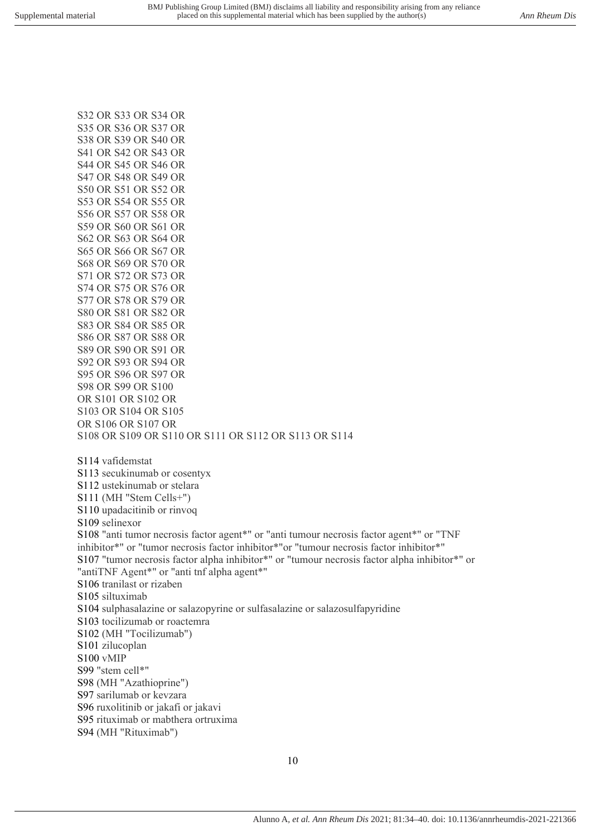S47 OR S48 OR S49 OR S50 OR S51 OR S52 OR S53 OR S54 OR S55 OR S56 OR S57 OR S58 OR S59 OR S60 OR S61 OR S62 OR S63 OR S64 OR S65 OR S66 OR S67 OR S68 OR S69 OR S70 OR S71 OR S72 OR S73 OR S74 OR S75 OR S76 OR S77 OR S78 OR S79 OR S80 OR S81 OR S82 OR S83 OR S84 OR S85 OR S86 OR S87 OR S88 OR S89 OR S90 OR S91 OR S92 OR S93 OR S94 OR S95 OR S96 OR S97 OR S98 OR S99 OR S100 OR S101 OR S102 OR S103 OR S104 OR S105 OR S106 OR S107 OR S108 OR S109 OR S110 OR S111 OR S112 OR S113 OR S114 S114 vafidemstat S113 secukinumab or cosentyx S112 ustekinumab or stelara S111 (MH "Stem Cells+") S110 upadacitinib or rinvoq S109 selinexor S108 "anti tumor necrosis factor agent\*" or "anti tumour necrosis factor agent\*" or "TNF inhibitor\*" or "tumor necrosis factor inhibitor\*"or "tumour necrosis factor inhibitor\*" S107 "tumor necrosis factor alpha inhibitor\*" or "tumour necrosis factor alpha inhibitor\*" or "antiTNF Agent\*" or "anti tnf alpha agent\*" S106 tranilast or rizaben S105 siltuximab S104 sulphasalazine or salazopyrine or sulfasalazine or salazosulfapyridine S103 tocilizumab or roactemra S102 (MH "Tocilizumab") S101 zilucoplan S100 vMIP S99 "stem cell\*" S98 (MH "Azathioprine") S97 sarilumab or kevzara S96 ruxolitinib or jakafi or jakavi S95 rituximab or mabthera ortruxima S94 (MH "Rituximab")

Alunno A*, et al. Ann Rheum Dis* 2021; 81:34–40. doi: 10.1136/annrheumdis-2021-221366

S32 OR S33 OR S34 OR S35 OR S36 OR S37 OR S38 OR S39 OR S40 OR S41 OR S42 OR S43 OR S44 OR S45 OR S46 OR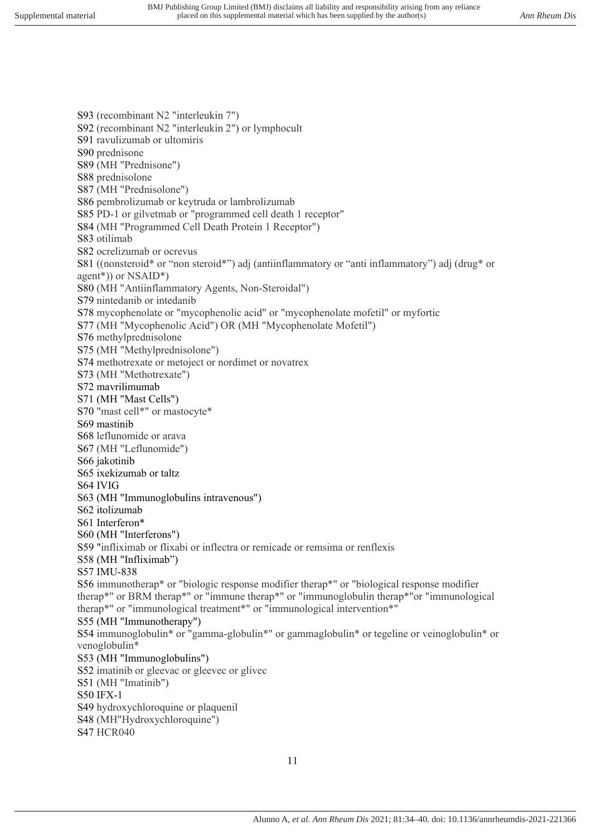S93 (recombinant N2 "interleukin 7") S92 (recombinant N2 "interleukin 2") or lymphocult S91 ravulizumab or ultomiris S90 prednisone S89 (MH "Prednisone") S88 prednisolone S87 (MH "Prednisolone") S86 pembrolizumab or keytruda or lambrolizumab S85 PD-1 or gilvetmab or "programmed cell death 1 receptor" S84 (MH "Programmed Cell Death Protein 1 Receptor") S83 otilimab S82 ocrelizumab or ocrevus S81 ((nonsteroid\* or "non steroid\*") adj (antiinflammatory or "anti inflammatory") adj (drug\* or agent\*)) or NSAID\*) S80 (MH "Antiinflammatory Agents, Non-Steroidal") S79 nintedanib or intedanib S78 mycophenolate or "mycophenolic acid" or "mycophenolate mofetil" or myfortic S77 (MH "Mycophenolic Acid") OR (MH "Mycophenolate Mofetil") S76 methylprednisolone S75 (MH "Methylprednisolone") S74 methotrexate or metoject or nordimet or novatrex S73 (MH "Methotrexate") S72 mavrilimumab S71 (MH "Mast Cells") S70 "mast cell\*" or mastocyte\* S69 mastinib S68 leflunomide or arava S67 (MH "Leflunomide") S66 jakotinib S65 ixekizumab or taltz S64 IVIG S63 (MH "Immunoglobulins intravenous") S62 itolizumab S61 Interferon\* S60 (MH "Interferons") S59 "infliximab or flixabi or inflectra or remicade or remsima or renflexis S58 (MH "Infliximab") S57 IMU-838 S56 immunotherap\* or "biologic response modifier therap\*" or "biological response modifier therap\*" or BRM therap\*" or "immune therap\*" or "immunoglobulin therap\*"or "immunological therap\*" or "immunological treatment\*" or "immunological intervention\*" S55 (MH "Immunotherapy") S54 immunoglobulin\* or "gamma-globulin\*" or gammaglobulin\* or tegeline or veinoglobulin\* or venoglobulin\* S53 (MH "Immunoglobulins") S52 imatinib or gleevac or gleevec or glivec S51 (MH "Imatinib") S50 IFX-1 S49 hydroxychloroquine or plaquenil S48 (MH"Hydroxychloroquine") S47 HCR040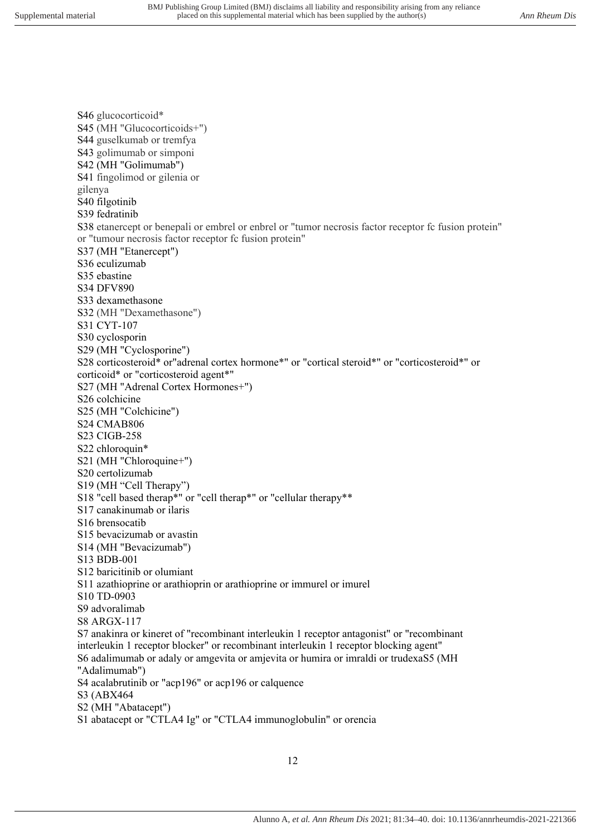S46 glucocorticoid\* S45 (MH "Glucocorticoids+") S44 guselkumab or tremfya S43 golimumab or simponi S42 (MH "Golimumab") S41 fingolimod or gilenia or gilenya S40 filgotinib S39 fedratinib S38 etanercept or benepali or embrel or enbrel or "tumor necrosis factor receptor fc fusion protein" or "tumour necrosis factor receptor fc fusion protein" S37 (MH "Etanercept") S36 eculizumab S35 ebastine S34 DFV890 S33 dexamethasone S32 (MH "Dexamethasone") S31 CYT-107 S30 cyclosporin S29 (MH "Cyclosporine") S28 corticosteroid\* or"adrenal cortex hormone\*" or "cortical steroid\*" or "corticosteroid\*" or corticoid\* or "corticosteroid agent\*" S27 (MH "Adrenal Cortex Hormones+") S26 colchicine S25 (MH "Colchicine") S24 CMAB806 S23 CIGB-258 S22 chloroquin\* S21 (MH "Chloroquine+") S20 certolizumab S19 (MH "Cell Therapy") S18 "cell based therap\*" or "cell therap\*" or "cellular therapy\*\* S17 canakinumab or ilaris S16 brensocatib S15 bevacizumab or avastin S14 (MH "Bevacizumab") S13 BDB-001 S12 baricitinib or olumiant S11 azathioprine or arathioprin or arathioprine or immurel or imurel S10 TD-0903 S9 advoralimab S8 ARGX-117 S7 anakinra or kineret of "recombinant interleukin 1 receptor antagonist" or "recombinant interleukin 1 receptor blocker" or recombinant interleukin 1 receptor blocking agent" S6 adalimumab or adaly or amgevita or amjevita or humira or imraldi or trudexaS5 (MH "Adalimumab") S4 acalabrutinib or "acp196" or acp196 or calquence S3 (ABX464 S2 (MH "Abatacept") S1 abatacept or "CTLA4 Ig" or "CTLA4 immunoglobulin" or orencia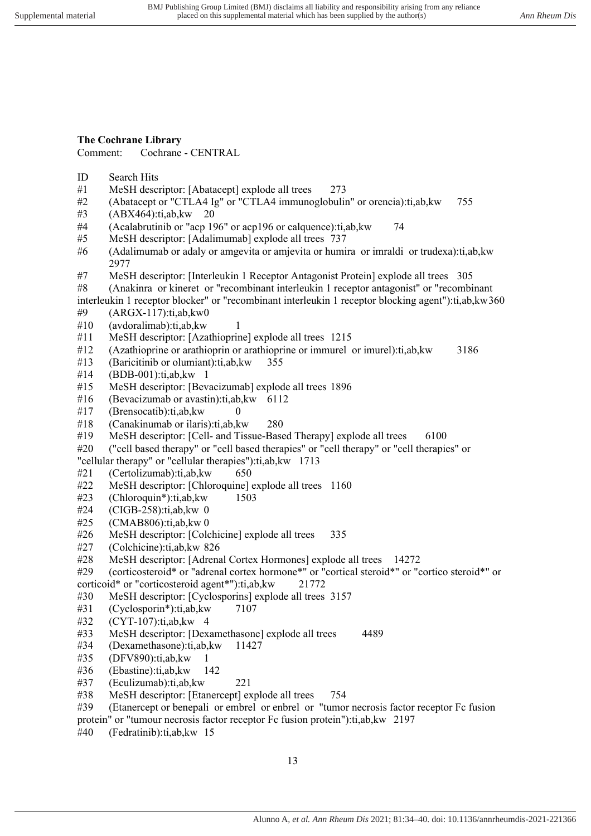### **The Cochrane Library**

Comment: Cochrane - CENTRAL

- ID Search Hits
- #1 MeSH descriptor: [Abatacept] explode all trees 273
- #2 (Abatacept or "CTLA4 Ig" or "CTLA4 immunoglobulin" or orencia):ti,ab,kw 755
- #3 (ABX464):ti,ab,kw 20
- #4 (Acalabrutinib or "acp 196" or acp196 or calquence):ti,ab,kw 74
- #5 MeSH descriptor: [Adalimumab] explode all trees 737
- #6 (Adalimumab or adaly or amgevita or amjevita or humira or imraldi or trudexa):ti,ab,kw 2977
- #7 MeSH descriptor: [Interleukin 1 Receptor Antagonist Protein] explode all trees 305
- #8 (Anakinra or kineret or "recombinant interleukin 1 receptor antagonist" or "recombinant interleukin 1 receptor blocker" or "recombinant interleukin 1 receptor blocking agent"):ti,ab,kw 360
- $#9$  (ARGX-117):ti,ab, kw $\theta$
- #10 (avdoralimab):ti,ab,kw 1
- #11 MeSH descriptor: [Azathioprine] explode all trees 1215
- #12 (Azathioprine or arathioprin or arathioprine or immurel or imurel):ti,ab,kw 3186
- #13 (Baricitinib or olumiant):ti,ab,kw 355
- #14 (BDB-001):ti,ab,kw 1
- #15 MeSH descriptor: [Bevacizumab] explode all trees 1896
- #16 (Bevacizumab or avastin):ti,ab,kw 6112
- $#17$  (Brensocatib):ti,ab, kw
- #18 (Canakinumab or ilaris):ti,ab,kw 280
- #19 MeSH descriptor: [Cell- and Tissue-Based Therapy] explode all trees 6100
- #20 ("cell based therapy" or "cell based therapies" or "cell therapy" or "cell therapies" or

"cellular therapy" or "cellular therapies"):ti,ab,kw 1713

- #21 (Certolizumab):ti,ab,kw 650
- #22 MeSH descriptor: [Chloroquine] explode all trees 1160
- #23 (Chloroquin\*):ti,ab,kw 1503
- #24 (CIGB-258):ti,ab,kw 0
- #25 (CMAB806):ti,ab,kw 0
- #26 MeSH descriptor: [Colchicine] explode all trees 335
- #27 (Colchicine):ti,ab,kw 826
- #28 MeSH descriptor: [Adrenal Cortex Hormones] explode all trees 14272

#29 (corticosteroid\* or "adrenal cortex hormone\*" or "cortical steroid\*" or "cortico steroid\*" or

- corticoid\* or "corticosteroid agent\*"):ti,ab,kw 21772
- #30 MeSH descriptor: [Cyclosporins] explode all trees 3157
- #31 (Cyclosporin\*):ti,ab,kw 7107
- #32 (CYT-107):ti,ab,kw 4
- #33 MeSH descriptor: [Dexamethasone] explode all trees 4489
- #34 (Dexamethasone):ti,ab,kw 11427
- #35 (DFV890):ti,ab,kw 1
- #36 (Ebastine):ti,ab,kw 142
- #37 (Eculizumab):ti,ab,kw 221
- #38 MeSH descriptor: [Etanercept] explode all trees 754
- #39 (Etanercept or benepali or embrel or enbrel or "tumor necrosis factor receptor Fc fusion
- protein" or "tumour necrosis factor receptor Fc fusion protein"):ti,ab,kw 2197
- #40 (Fedratinib):ti,ab,kw 15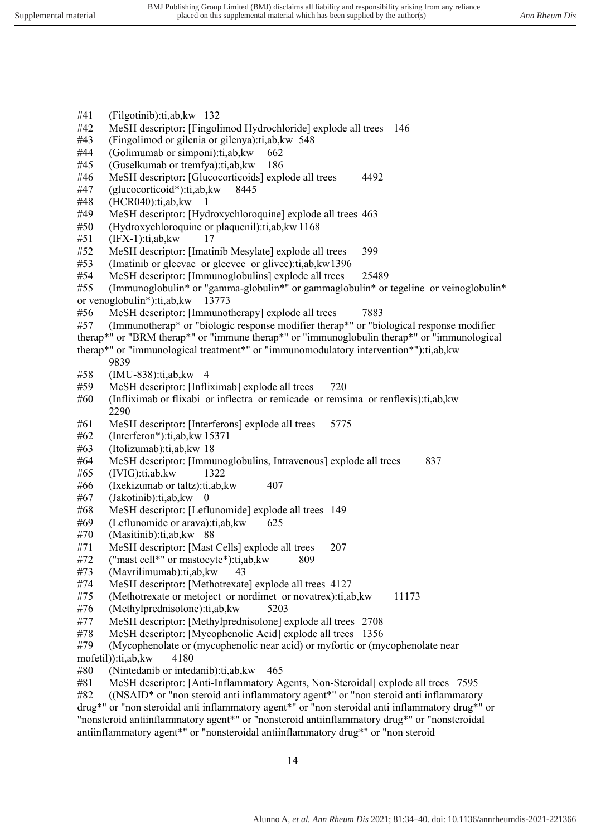- #41 (Filgotinib):ti,ab,kw 132
- #42 MeSH descriptor: [Fingolimod Hydrochloride] explode all trees 146
- #43 (Fingolimod or gilenia or gilenya):ti,ab,kw 548
- #44 (Golimumab or simponi):ti,ab,kw 662
- #45 (Guselkumab or tremfya):ti,ab,kw 186
- #46 MeSH descriptor: [Glucocorticoids] explode all trees 4492
- #47 (glucocorticoid\*):ti,ab,kw 8445
- #48 (HCR040):ti,ab,kw 1
- #49 MeSH descriptor: [Hydroxychloroquine] explode all trees 463
- #50 (Hydroxychloroquine or plaquenil):ti,ab,kw 1168
- #51 (IFX-1):ti,ab,kw 17
- #52 MeSH descriptor: [Imatinib Mesylate] explode all trees 399
- #53 (Imatinib or gleevac or gleevec or glivec):ti,ab,kw 1396
- #54 MeSH descriptor: [Immunoglobulins] explode all trees 25489
- #55 (Immunoglobulin\* or "gamma-globulin\*" or gammaglobulin\* or tegeline or veinoglobulin\* or venoglobulin\*):ti,ab,kw 13773
- #56 MeSH descriptor: [Immunotherapy] explode all trees 7883
- #57 (Immunotherap\* or "biologic response modifier therap\*" or "biological response modifier therap\*" or "BRM therap\*" or "immune therap\*" or "immunoglobulin therap\*" or "immunological

therap\*" or "immunological treatment\*" or "immunomodulatory intervention\*"):ti,ab,kw 9839

- #58 (IMU-838):ti,ab,kw 4
- #59 MeSH descriptor: [Infliximab] explode all trees 720
- #60 (Infliximab or flixabi or inflectra or remicade or remsima or renflexis):ti,ab,kw 2290
- #61 MeSH descriptor: [Interferons] explode all trees 5775
- #62 (Interferon\*):ti,ab,kw 15371
- #63 (Itolizumab):ti,ab,kw 18
- #64 MeSH descriptor: [Immunoglobulins, Intravenous] explode all trees 837
- #65 (IVIG):ti,ab,kw 1322
- $\#66$  (Ixekizumab or taltz):ti,ab, kw 407
- #67 (Jakotinib):ti,ab,kw 0
- #68 MeSH descriptor: [Leflunomide] explode all trees 149
- #69 (Leflunomide or arava):ti,ab,kw 625
- #70 (Masitinib):ti,ab,kw 88
- #71 MeSH descriptor: [Mast Cells] explode all trees 207
- #72 ("mast cell\*" or mastocyte\*):ti,ab,kw 809
- #73 (Mavrilimumab):ti,ab,kw 43
- MeSH descriptor: [Methotrexate] explode all trees 4127
- #75 (Methotrexate or metoject or nordimet or novatrex):ti,ab,kw 11173
- #76 (Methylprednisolone):ti,ab,kw 5203
- #77 MeSH descriptor: [Methylprednisolone] explode all trees 2708
- #78 MeSH descriptor: [Mycophenolic Acid] explode all trees 1356
- #79 (Mycophenolate or (mycophenolic near acid) or myfortic or (mycophenolate near mofetil)):ti,ab,kw 4180
- #80 (Nintedanib or intedanib):ti,ab,kw 465
- #81 MeSH descriptor: [Anti-Inflammatory Agents, Non-Steroidal] explode all trees 7595

#82 ((NSAID\* or "non steroid anti inflammatory agent\*" or "non steroid anti inflammatory drug\*" or "non steroidal anti inflammatory agent\*" or "non steroidal anti inflammatory drug\*" or "nonsteroid antiinflammatory agent\*" or "nonsteroid antiinflammatory drug\*" or "nonsteroidal antiinflammatory agent\*" or "nonsteroidal antiinflammatory drug\*" or "non steroid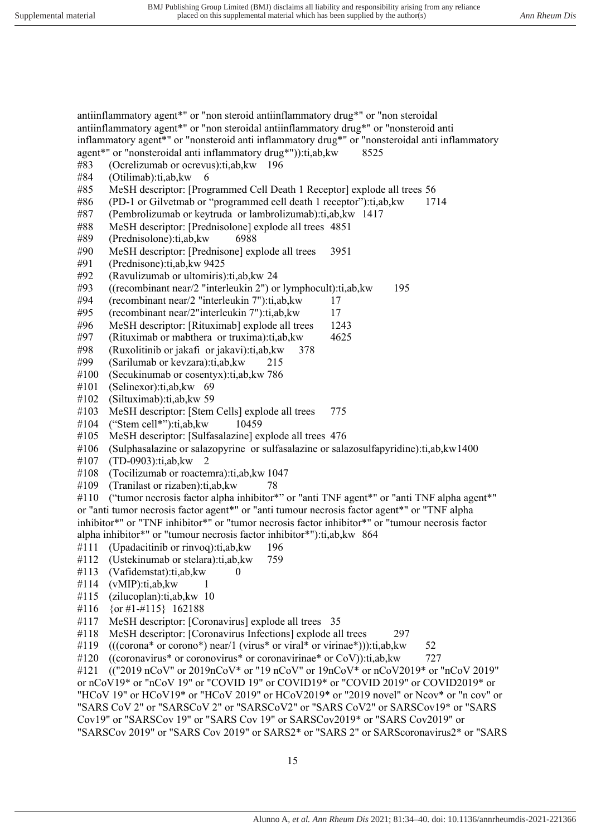antiinflammatory agent\*" or "non steroid antiinflammatory drug\*" or "non steroidal antiinflammatory agent\*" or "non steroidal antiinflammatory drug\*" or "nonsteroid anti

inflammatory agent\*" or "nonsteroid anti inflammatory drug\*" or "nonsteroidal anti inflammatory

15 agent\*" or "nonsteroidal anti inflammatory drug\*")):ti,ab,kw 8525 #83 (Ocrelizumab or ocrevus):ti,ab,kw 196 #84 (Otilimab):ti,ab,kw 6 #85 MeSH descriptor: [Programmed Cell Death 1 Receptor] explode all trees 56 #86 (PD-1 or Gilvetmab or "programmed cell death 1 receptor"):ti,ab,kw 1714 #87 (Pembrolizumab or keytruda or lambrolizumab):ti,ab,kw 1417 #88 MeSH descriptor: [Prednisolone] explode all trees 4851 #89 (Prednisolone):ti,ab,kw 6988 #90 MeSH descriptor: [Prednisone] explode all trees 3951 #91 (Prednisone):ti,ab,kw 9425 #92 (Ravulizumab or ultomiris):ti,ab,kw 24 #93 ((recombinant near/2 "interleukin 2") or lymphocult):ti,ab,kw 195 #94 (recombinant near/2 "interleukin 7"):ti,ab,kw 17 #95 (recombinant near/2"interleukin 7"):ti,ab,kw 17 #96 MeSH descriptor: [Rituximab] explode all trees 1243 #97 (Rituximab or mabthera or truxima):ti,ab,kw 4625 #98 (Ruxolitinib or jakafi or jakavi):ti,ab,kw 378 #99 (Sarilumab or kevzara):ti,ab,kw 215 #100 (Secukinumab or cosentyx):ti,ab,kw 786 #101 (Selinexor):ti,ab,kw 69 #102 (Siltuximab):ti,ab,kw 59 #103 MeSH descriptor: [Stem Cells] explode all trees 775 #104 ("Stem cell\*"):ti,ab,kw 10459 #105 MeSH descriptor: [Sulfasalazine] explode all trees 476 #106 (Sulphasalazine or salazopyrine or sulfasalazine or salazosulfapyridine):ti,ab,kw 1400 #107 (TD-0903):ti,ab,kw 2 #108 (Tocilizumab or roactemra):ti,ab,kw 1047 #109 (Tranilast or rizaben):ti,ab,kw 78 #110 ("tumor necrosis factor alpha inhibitor\*" or "anti TNF agent\*" or "anti TNF alpha agent\*" or "anti tumor necrosis factor agent\*" or "anti tumour necrosis factor agent\*" or "TNF alpha inhibitor\*" or "TNF inhibitor\*" or "tumor necrosis factor inhibitor\*" or "tumour necrosis factor alpha inhibitor\*" or "tumour necrosis factor inhibitor\*"):ti,ab,kw 864 #111 (Upadacitinib or rinvoq):ti,ab,kw 196 #112 (Ustekinumab or stelara):ti,ab,kw 759  $#113$  (Vafidemstat):ti,ab, kw 0 #114 (vMIP):ti,ab,kw 1 #115 (zilucoplan):ti,ab,kw 10 #116 {or #1-#115} 162188 #117 MeSH descriptor: [Coronavirus] explode all trees 35 #118 MeSH descriptor: [Coronavirus Infections] explode all trees 297 #119  $(((\text{corona* or corono*}) \text{ near}/1 (\text{virus* or virula* or virinae*})):$  ti,ab,kw 52 #120 ((coronavirus\* or coronovirus\* or coronavirinae\* or CoV)):ti,ab, kw  $727$ #121 (("2019 nCoV" or 2019nCoV\* or "19 nCoV" or 19nCoV\* or nCoV2019\* or "nCoV 2019" or nCoV19\* or "nCoV 19" or "COVID 19" or COVID19\* or "COVID 2019" or COVID2019\* or "HCoV 19" or HCoV19\* or "HCoV 2019" or HCoV2019\* or "2019 novel" or Ncov\* or "n cov" or "SARS CoV 2" or "SARSCoV 2" or "SARSCoV2" or "SARS CoV2" or SARSCov19\* or "SARS Cov19" or "SARSCov 19" or "SARS Cov 19" or SARSCov2019\* or "SARS Cov2019" or "SARSCov 2019" or "SARS Cov 2019" or SARS2\* or "SARS 2" or SARScoronavirus2\* or "SARS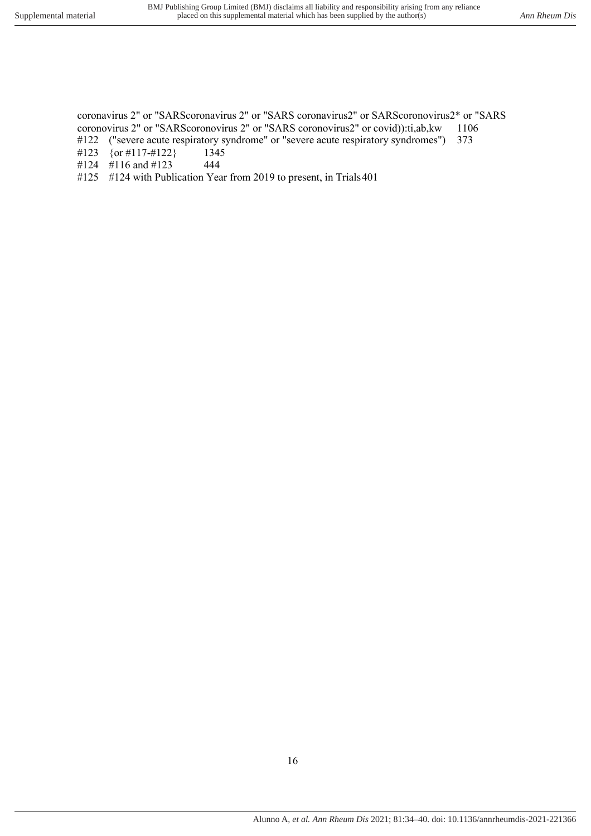coronavirus 2" or "SARScoronavirus 2" or "SARS coronavirus2" or SARScoronovirus2\* or "SARS coronovirus 2" or "SARScoronovirus 2" or "SARS coronovirus2" or covid)):ti,ab,kw 1106 #122 ("severe acute respiratory syndrome" or "severe acute respiratory syndromes") 373

- #123 {or #117-#122} 1345
- #124 #116 and #123 444
- #125 #124 with Publication Year from 2019 to present, in Trials 401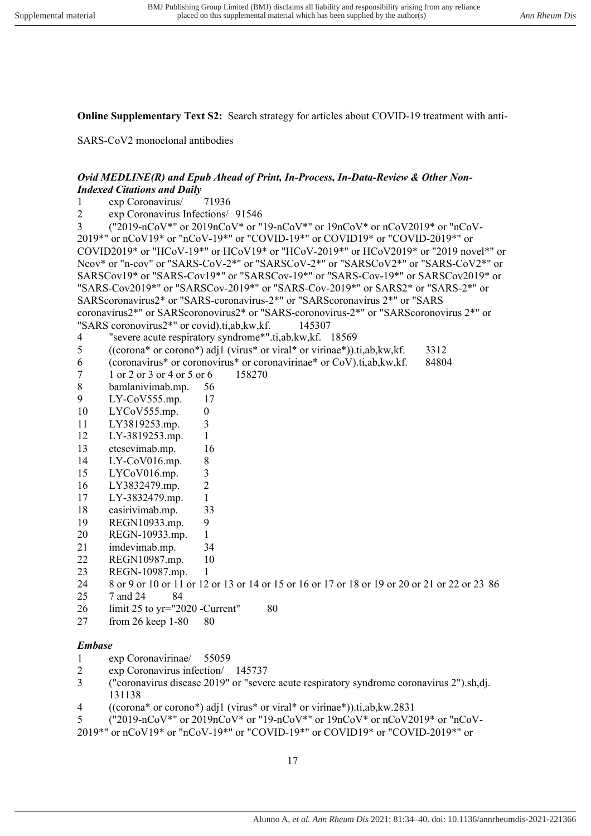**Online Supplementary Text S2:** Search strategy for articles about COVID-19 treatment with anti-

SARS-CoV2 monoclonal antibodies

# *Ovid MEDLINE(R) and Epub Ahead of Print, In-Process, In-Data-Review & Other Non-Indexed Citations and Daily*

- 1 exp Coronavirus/ 71936
- 2 exp Coronavirus Infections/ 91546

3 ("2019-nCoV\*" or 2019nCoV\* or "19-nCoV\*" or 19nCoV\* or nCoV2019\* or "nCoV-2019\*" or nCoV19\* or "nCoV-19\*" or "COVID-19\*" or COVID19\* or "COVID-2019\*" or COVID2019\* or "HCoV-19\*" or HCoV19\* or "HCoV-2019\*" or HCoV2019\* or "2019 novel\*" or Ncov\* or "n-cov" or "SARS-CoV-2\*" or "SARSCoV-2\*" or "SARSCoV2\*" or "SARS-CoV2\*" or SARSCov19\* or "SARS-Cov19\*" or "SARSCov-19\*" or "SARS-Cov-19\*" or SARSCov2019\* or "SARS-Cov2019\*" or "SARSCov-2019\*" or "SARS-Cov-2019\*" or SARS2\* or "SARS-2\*" or SARScoronavirus2\* or "SARS-coronavirus-2\*" or "SARScoronavirus 2\*" or "SARS coronavirus2\*" or SARScoronovirus2\* or "SARS-coronovirus-2\*" or "SARScoronovirus 2\*" or "SARS coronovirus2\*" or covid).ti,ab,kw,kf. 145307

- 4 "severe acute respiratory syndrome\*".ti,ab,kw,kf. 18569
- 5 ((corona\* or corono\*) adj1 (virus\* or viral\* or virinae\*)).ti,ab,kw,kf. 3312
- 6 (coronavirus\* or coronovirus\* or coronavirinae\* or CoV).ti,ab,kw,kf. 84804
- 7 1 or 2 or 3 or 4 or 5 or 6 158270
- 8 bamlanivimab.mp. 56
- 9 LY-CoV555.mp. 17
- 10 LYCoV555.mp. 0
- 11 LY3819253.mp. 3
- 12 LY-3819253.mp. 1
- 13 etesevimab.mp. 16
- 14 LY-CoV016.mp. 8
- 15 LYCoV016.mp. 3
- 16 LY3832479.mp. 2
- 17 LY-3832479.mp. 1
- 18 casirivimab.mp. 33
- 19 REGN10933.mp. 9
- 20 REGN-10933.mp. 1
- 21 imdevimab.mp. 34
- 22 REGN10987.mp. 10
- 
- 23 REGN-10987.mp. 1<br>24 8 or 9 or 10 or 11 or 12 8 or 9 or 10 or 11 or 12 or 13 or 14 or 15 or 16 or 17 or 18 or 19 or 20 or 21 or 22 or 23 86
- 25 7 and 24 84
- 26 limit 25 to yr="2020 -Current" 80
- 27 from 26 keep 1-80 80

### *Embase*

- 1 exp Coronavirinae/ 55059<br>2 exp Coronavirus infection/
- exp Coronavirus infection/ 145737
- 3 ("coronavirus disease 2019" or "severe acute respiratory syndrome coronavirus 2").sh,dj. 131138
- 4 ((corona\* or corono\*) adj1 (virus\* or viral\* or virinae\*)).ti,ab,kw. 2831
- 5 ("2019-nCoV\*" or 2019nCoV\* or "19-nCoV\*" or 19nCoV\* or nCoV2019\* or "nCoV-
- 2019\*" or nCoV19\* or "nCoV-19\*" or "COVID-19\*" or COVID19\* or "COVID-2019\*" or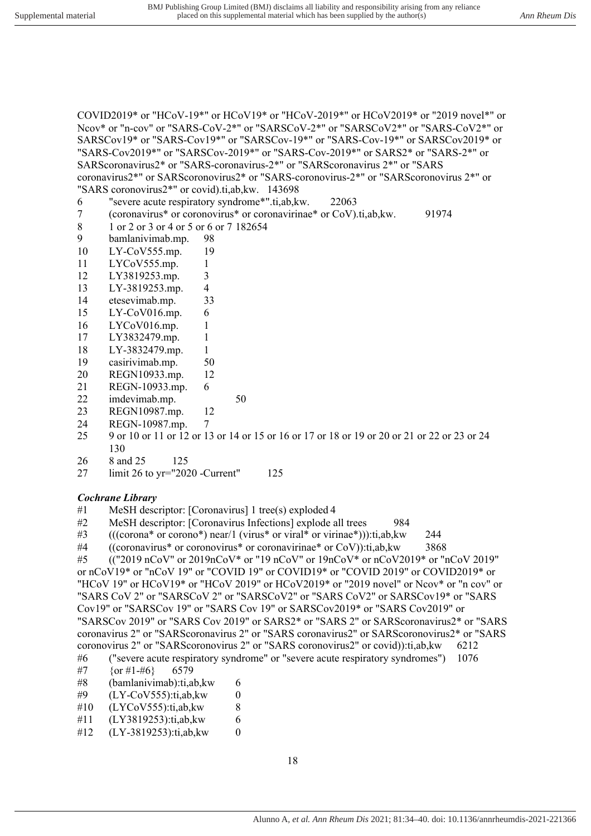COVID2019\* or "HCoV-19\*" or HCoV19\* or "HCoV-2019\*" or HCoV2019\* or "2019 novel\*" or Ncov\* or "n-cov" or "SARS-CoV-2\*" or "SARSCoV-2\*" or "SARSCoV2\*" or "SARS-CoV2\*" or SARSCov19\* or "SARS-Cov19\*" or "SARSCov-19\*" or "SARS-Cov-19\*" or SARSCov2019\* or "SARS-Cov2019\*" or "SARSCov-2019\*" or "SARS-Cov-2019\*" or SARS2\* or "SARS-2\*" or SARScoronavirus2\* or "SARS-coronavirus-2\*" or "SARScoronavirus 2\*" or "SARS coronavirus2\*" or SARScoronovirus2\* or "SARS-coronovirus-2\*" or "SARScoronovirus 2\*" or "SARS coronovirus2\*" or covid).ti,ab,kw. 143698 6 "severe acute respiratory syndrome\*".ti,ab,kw. 22063 7 (coronavirus\* or coronovirus\* or coronavirinae\* or CoV).ti,ab,kw. 91974 8 1 or 2 or 3 or 4 or 5 or 6 or 7 182654 9 bamlanivimab.mp. 98 10 LY-CoV555.mp. 19 11 LYCoV555.mp. 1

- 12 LY3819253.mp. 3
- 13 LY-3819253.mp. 4
- 14 etesevimab.mp. 33
- 15 LY-CoV016.mp. 6
- 16 LYCoV016.mp. 1
- 17 LY3832479.mp. 1
- 18 LY-3832479.mp. 1
- 19 casirivimab.mp. 50
- 20 REGN10933.mp. 12
- 21 REGN-10933.mp. 6
- 22 imdevimab.mp. 50
- 23 REGN10987.mp. 12
- 24 REGN-10987.mp. 7
- 25 9 or 10 or 11 or 12 or 13 or 14 or 15 or 16 or 17 or 18 or 19 or 20 or 21 or 22 or 23 or 24 130
- 26 8 and 25 125
- 27 limit 26 to yr="2020 -Current" 125

#### *Cochrane Library*

- #1 MeSH descriptor: [Coronavirus] 1 tree(s) exploded 4
- #2 MeSH descriptor: [Coronavirus Infections] explode all trees 984
- #3 (((corona\* or corono\*) near/1 (virus\* or viral\* or virinae\*))):ti,ab,kw 244
- #4 ((coronavirus\* or coronovirus\* or coronavirinae\* or CoV)):ti,ab,kw 3868

#5 (("2019 nCoV" or 2019nCoV\* or "19 nCoV" or  $19nCoV^*$  or  $nCoV2019^*$  or "nCoV 2019" or nCoV19\* or "nCoV 19" or "COVID 19" or COVID19\* or "COVID 2019" or COVID2019\* or "HCoV 19" or HCoV19\* or "HCoV 2019" or HCoV2019\* or "2019 novel" or Ncov\* or "n cov" or "SARS CoV 2" or "SARSCoV 2" or "SARSCoV2" or "SARS CoV2" or SARSCov19\* or "SARS Cov19" or "SARSCov 19" or "SARS Cov 19" or SARSCov2019\* or "SARS Cov2019" or "SARSCov 2019" or "SARS Cov 2019" or SARS2\* or "SARS 2" or SARScoronavirus2\* or "SARS coronavirus 2" or "SARScoronavirus 2" or "SARS coronavirus2" or SARScoronovirus2\* or "SARS coronovirus 2" or "SARScoronovirus 2" or "SARS coronovirus2" or covid)):ti,ab,kw 6212

#6 ("severe acute respiratory syndrome" or "severe acute respiratory syndromes") 1076 #7  ${or }#1-#6$  6579

- 
- #8 (bamlanivimab):ti,ab,kw 6
- #9 (LY-CoV555):ti,ab,kw 0
- $#10$  (LYCoV555):ti,ab, kw 8
- #11 (LY3819253):ti,ab,kw 6
- #12 (LY-3819253):ti,ab,kw 0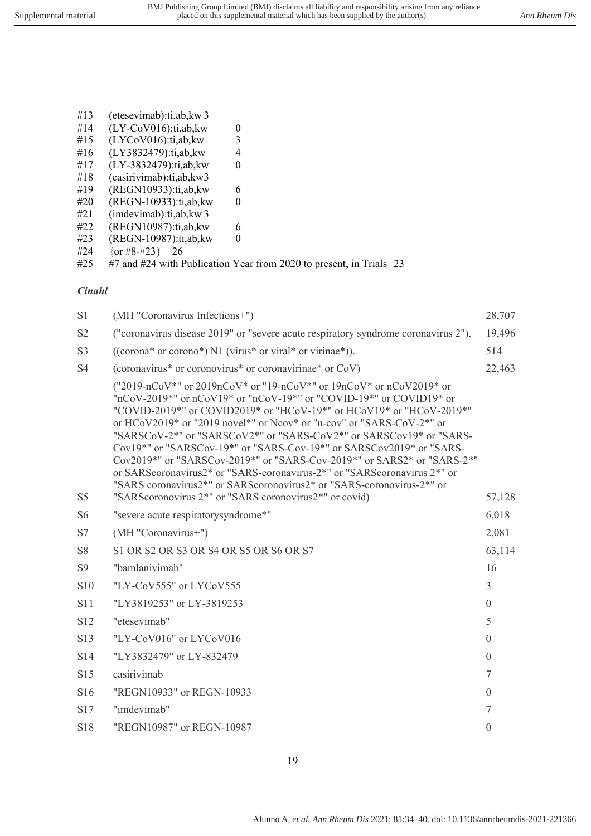- #13 (etesevimab):ti,ab,kw 3
- #14 (LY-CoV016):ti,ab,kw 0<br>#15 (LYCoV016):ti,ab,kw 3  $(LYCoV016):$ ti,ab,kw
- #16 (LY3832479):ti,ab,kw 4
- #17 (LY-3832479):ti,ab,kw 0
- #18 (casirivimab):ti,ab,kw 3
- #19 (REGN10933):ti,ab,kw 6
- #20 (REGN-10933):ti,ab,kw 0
- #21 (imdevimab):ti,ab,kw 3
- #22 (REGN10987):ti,ab,kw 6
- #23 (REGN-10987):ti,ab,kw 0
- #24 {or #8-#23} 26
- #25 #7 and #24 with Publication Year from 2020 to present, in Trials 23

# *Cinahl*

| S1             | (MH "Coronavirus Infections+")                                                                                                                                                                                                                                                                                                                                                                                                                                                                                                                                                                                                                                                                                                                                 | 28,707         |
|----------------|----------------------------------------------------------------------------------------------------------------------------------------------------------------------------------------------------------------------------------------------------------------------------------------------------------------------------------------------------------------------------------------------------------------------------------------------------------------------------------------------------------------------------------------------------------------------------------------------------------------------------------------------------------------------------------------------------------------------------------------------------------------|----------------|
| S <sub>2</sub> | ("coronavirus disease 2019" or "severe acute respiratory syndrome coronavirus 2").                                                                                                                                                                                                                                                                                                                                                                                                                                                                                                                                                                                                                                                                             | 19,496         |
| S <sub>3</sub> | ((corona* or corono*) N1 (virus* or viral* or virinae*)).                                                                                                                                                                                                                                                                                                                                                                                                                                                                                                                                                                                                                                                                                                      | 514            |
| <b>S4</b>      | (coronavirus* or coronovirus* or coronavirinae* or CoV)                                                                                                                                                                                                                                                                                                                                                                                                                                                                                                                                                                                                                                                                                                        | 22,463         |
| S <sub>5</sub> | ("2019-nCoV*" or 2019nCoV* or "19-nCoV*" or 19nCoV* or nCoV2019* or<br>"nCoV-2019*" or nCoV19* or "nCoV-19*" or "COVID-19*" or COVID19* or<br>"COVID-2019*" or COVID2019* or "HCoV-19*" or HCoV19* or "HCoV-2019*"<br>or HCoV2019* or "2019 novel*" or Ncov* or "n-cov" or "SARS-CoV-2*" or<br>"SARSCoV-2*" or "SARSCoV2*" or "SARS-CoV2*" or SARSCov19* or "SARS-<br>Cov19*" or "SARSCov-19*" or "SARS-Cov-19*" or SARSCov2019* or "SARS-<br>Cov2019*" or "SARSCov-2019*" or "SARS-Cov-2019*" or SARS2* or "SARS-2*"<br>or SARScoronavirus2* or "SARS-coronavirus-2*" or "SARScoronavirus 2*" or<br>"SARS coronavirus2*" or SARScoronovirus2* or "SARS-coronovirus-2*" or<br>"SARS coronovirus 2 <sup>*</sup> " or "SARS coronovirus2 <sup>*"</sup> or covid) | 57,128         |
| S <sub>6</sub> | "severe acute respiratorysyndrome*"                                                                                                                                                                                                                                                                                                                                                                                                                                                                                                                                                                                                                                                                                                                            | 6,018          |
| S7             | (MH "Coronavirus+")                                                                                                                                                                                                                                                                                                                                                                                                                                                                                                                                                                                                                                                                                                                                            | 2,081          |
| <b>S8</b>      | S1 OR S2 OR S3 OR S4 OR S5 OR S6 OR S7                                                                                                                                                                                                                                                                                                                                                                                                                                                                                                                                                                                                                                                                                                                         | 63,114         |
| S <sub>9</sub> | "bamlanivimab"                                                                                                                                                                                                                                                                                                                                                                                                                                                                                                                                                                                                                                                                                                                                                 | 16             |
| S10            | "LY-CoV555" or LYCoV555                                                                                                                                                                                                                                                                                                                                                                                                                                                                                                                                                                                                                                                                                                                                        | $\overline{3}$ |
| S11            | "LY3819253" or LY-3819253                                                                                                                                                                                                                                                                                                                                                                                                                                                                                                                                                                                                                                                                                                                                      | $\Omega$       |
| S12            | "etesevimab"                                                                                                                                                                                                                                                                                                                                                                                                                                                                                                                                                                                                                                                                                                                                                   | 5              |
| S13            | "LY-CoV016" or LYCoV016                                                                                                                                                                                                                                                                                                                                                                                                                                                                                                                                                                                                                                                                                                                                        | $\overline{0}$ |
| S14            | "LY3832479" or LY-832479                                                                                                                                                                                                                                                                                                                                                                                                                                                                                                                                                                                                                                                                                                                                       | $\overline{0}$ |
| S15            | casirivimab                                                                                                                                                                                                                                                                                                                                                                                                                                                                                                                                                                                                                                                                                                                                                    | $\overline{7}$ |
| S16            | "REGN10933" or REGN-10933                                                                                                                                                                                                                                                                                                                                                                                                                                                                                                                                                                                                                                                                                                                                      | $\overline{0}$ |
| S17            | "imdevimab"                                                                                                                                                                                                                                                                                                                                                                                                                                                                                                                                                                                                                                                                                                                                                    | $\tau$         |
| S18            | "REGN10987" or REGN-10987                                                                                                                                                                                                                                                                                                                                                                                                                                                                                                                                                                                                                                                                                                                                      | $\theta$       |